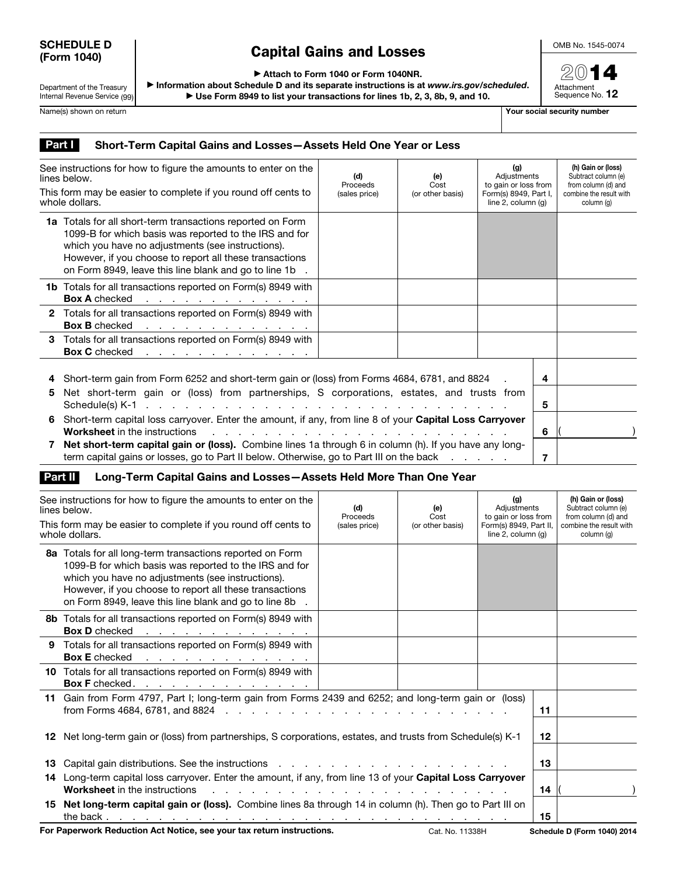## SCHEDULE D (Form 1040)

## Capital Gains and Losses

OMB No. 1545-0074

2014 Attachment<br>Sequence No. **12** 

▶ Attach to Form 1040 or Form 1040NR.

Department of the Treasury Internal Revenue Service (99)

▶ Information about Schedule D and its separate instructions is at *www.irs.gov/scheduled*. ▶ Use Form 8949 to list your transactions for lines 1b, 2, 3, 8b, 9, and 10.

Name(s) shown on return The Contract of the Contract of the Contract of The Contract of The Contract of The Contract of The Contract of The Contract of The Contract of The Contract of The Contract of The Contract of The Co

## Part | Short-Term Capital Gains and Losses-Assets Held One Year or Less

| See instructions for how to figure the amounts to enter on the<br>lines below.  |                                                                                                                                                                                                                                                                                                                                                                                  | (d)<br>Proceeds | (e)<br>Cost      | (g)<br>Adjustments<br>to gain or loss from<br>Form(s) 8949, Part I,<br>line $2$ , column $(q)$ |  | (h) Gain or (loss)<br>Subtract column (e)<br>from column (d) and<br>combine the result with<br>column (q) |
|---------------------------------------------------------------------------------|----------------------------------------------------------------------------------------------------------------------------------------------------------------------------------------------------------------------------------------------------------------------------------------------------------------------------------------------------------------------------------|-----------------|------------------|------------------------------------------------------------------------------------------------|--|-----------------------------------------------------------------------------------------------------------|
| This form may be easier to complete if you round off cents to<br>whole dollars. |                                                                                                                                                                                                                                                                                                                                                                                  | (sales price)   | (or other basis) |                                                                                                |  |                                                                                                           |
|                                                                                 | <b>1a</b> Totals for all short-term transactions reported on Form<br>1099-B for which basis was reported to the IRS and for<br>which you have no adjustments (see instructions).<br>However, if you choose to report all these transactions<br>on Form 8949, leave this line blank and go to line 1b                                                                             |                 |                  |                                                                                                |  |                                                                                                           |
|                                                                                 | <b>1b</b> Totals for all transactions reported on Form(s) 8949 with<br><b>Box A</b> checked<br>the contract of the contract of the contract of                                                                                                                                                                                                                                   |                 |                  |                                                                                                |  |                                                                                                           |
|                                                                                 | 2 Totals for all transactions reported on Form(s) 8949 with<br><b>Box B</b> checked<br>the contract of the contract of the contract of                                                                                                                                                                                                                                           |                 |                  |                                                                                                |  |                                                                                                           |
|                                                                                 | 3 Totals for all transactions reported on Form(s) 8949 with<br>Box C checked <u>.</u>                                                                                                                                                                                                                                                                                            |                 |                  |                                                                                                |  |                                                                                                           |
| 5                                                                               | Short-term gain from Form 6252 and short-term gain or (loss) from Forms 4684, 6781, and 8824<br>Net short-term gain or (loss) from partnerships, S corporations, estates, and trusts from                                                                                                                                                                                        |                 |                  |                                                                                                |  |                                                                                                           |
| 6.                                                                              | Short-term capital loss carryover. Enter the amount, if any, from line 8 of your Capital Loss Carryover<br><b>Worksheet</b> in the instructions<br>a construction of the construction of the construction of the construction of the construction of the construction of the construction of the construction of the construction of the construction of the construction of the |                 |                  | 5<br>6                                                                                         |  |                                                                                                           |
|                                                                                 | Net short-term capital gain or (loss). Combine lines 1a through 6 in column (h). If you have any long-<br>term capital gains or losses, go to Part II below. Otherwise, go to Part III on the back                                                                                                                                                                               |                 |                  | 7                                                                                              |  |                                                                                                           |

## Part II Long-Term Capital Gains and Losses-Assets Held More Than One Year

| See instructions for how to figure the amounts to enter on the<br>lines below.<br>This form may be easier to complete if you round off cents to<br>whole dollars. |                                                                                                                                                                                                                                                                                               | (d)<br>Proceeds<br>(sales price) | (e)<br>Cost<br>(or other basis) | (g)<br>Adjustments<br>to gain or loss from<br>Form(s) 8949, Part II,<br>line $2$ , column $(q)$ |    | (h) Gain or (loss)<br>Subtract column (e)<br>from column (d) and<br>combine the result with<br>column (q) |
|-------------------------------------------------------------------------------------------------------------------------------------------------------------------|-----------------------------------------------------------------------------------------------------------------------------------------------------------------------------------------------------------------------------------------------------------------------------------------------|----------------------------------|---------------------------------|-------------------------------------------------------------------------------------------------|----|-----------------------------------------------------------------------------------------------------------|
|                                                                                                                                                                   | 8a Totals for all long-term transactions reported on Form<br>1099-B for which basis was reported to the IRS and for<br>which you have no adjustments (see instructions).<br>However, if you choose to report all these transactions<br>on Form 8949, leave this line blank and go to line 8b. |                                  |                                 |                                                                                                 |    |                                                                                                           |
|                                                                                                                                                                   | 8b Totals for all transactions reported on Form(s) 8949 with<br><b>Box D</b> checked<br>the contract of the contract of the contract of the                                                                                                                                                   |                                  |                                 |                                                                                                 |    |                                                                                                           |
|                                                                                                                                                                   | 9 Totals for all transactions reported on Form(s) 8949 with<br><b>Box E</b> checked<br>the contract of the contract of the contract of                                                                                                                                                        |                                  |                                 |                                                                                                 |    |                                                                                                           |
|                                                                                                                                                                   | 10 Totals for all transactions reported on Form(s) 8949 with<br>Box F checked. <u>.</u>                                                                                                                                                                                                       |                                  |                                 |                                                                                                 |    |                                                                                                           |
|                                                                                                                                                                   | 11 Gain from Form 4797, Part I; long-term gain from Forms 2439 and 6252; and long-term gain or (loss)                                                                                                                                                                                         |                                  |                                 |                                                                                                 | 11 |                                                                                                           |
|                                                                                                                                                                   | 12 Net long-term gain or (loss) from partnerships, S corporations, estates, and trusts from Schedule(s) K-1                                                                                                                                                                                   |                                  |                                 |                                                                                                 | 12 |                                                                                                           |
|                                                                                                                                                                   | 13 Capital gain distributions. See the instructions referred to referred the control of the set of the set of the set of the set of the set of the set of the set of the set of the set of the set of the set of the set of th                                                                |                                  |                                 |                                                                                                 | 13 |                                                                                                           |
|                                                                                                                                                                   | 14 Long-term capital loss carryover. Enter the amount, if any, from line 13 of your Capital Loss Carryover<br><b>Worksheet</b> in the instructions                                                                                                                                            |                                  |                                 |                                                                                                 | 14 |                                                                                                           |
|                                                                                                                                                                   | 15 Net long-term capital gain or (loss). Combine lines 8a through 14 in column (h). Then go to Part III on                                                                                                                                                                                    |                                  |                                 |                                                                                                 | 15 |                                                                                                           |